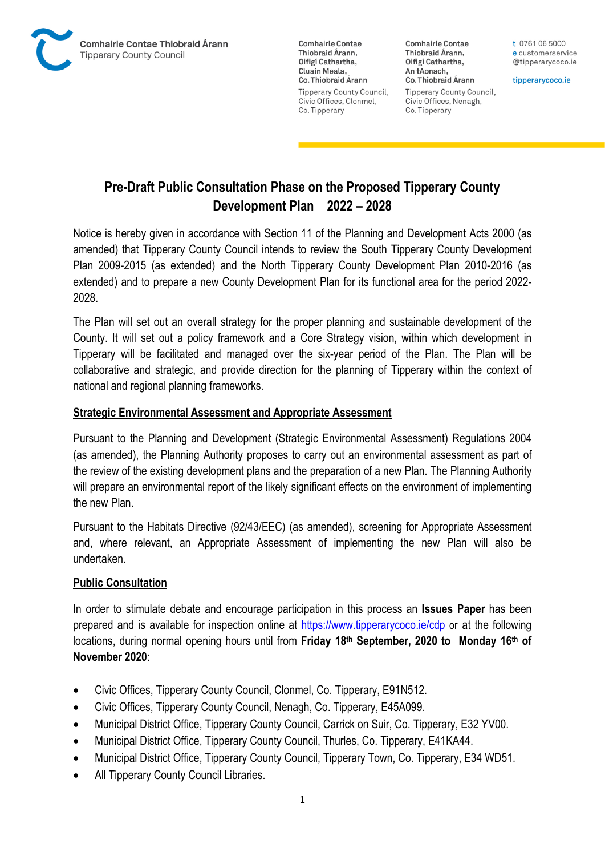

**Comhairle Contae** Thiobraid Árann, Oifigí Cathartha, Cluain Meala, Co. Thiobraid Árann **Tipperary County Council,** Civic Offices, Clonmel, Co. Tipperary

**Comhairle Contae** Thiobraid Árann, Oifigí Cathartha, An tAonach, Co. Thiobraid Árann **Tipperary County Council,** Civic Offices, Nenagh, Co. Tipperary

t 0761 06 5000 e customerservice @tipperarycoco.ie

tipperarycoco.ie

# **Pre-Draft Public Consultation Phase on the Proposed Tipperary County Development Plan 2022 – 2028**

Notice is hereby given in accordance with Section 11 of the Planning and Development Acts 2000 (as amended) that Tipperary County Council intends to review the South Tipperary County Development Plan 2009-2015 (as extended) and the North Tipperary County Development Plan 2010-2016 (as extended) and to prepare a new County Development Plan for its functional area for the period 2022- 2028.

The Plan will set out an overall strategy for the proper planning and sustainable development of the County. It will set out a policy framework and a Core Strategy vision, within which development in Tipperary will be facilitated and managed over the six-year period of the Plan. The Plan will be collaborative and strategic, and provide direction for the planning of Tipperary within the context of national and regional planning frameworks.

### **Strategic Environmental Assessment and Appropriate Assessment**

Pursuant to the Planning and Development (Strategic Environmental Assessment) Regulations 2004 (as amended), the Planning Authority proposes to carry out an environmental assessment as part of the review of the existing development plans and the preparation of a new Plan. The Planning Authority will prepare an environmental report of the likely significant effects on the environment of implementing the new Plan.

Pursuant to the Habitats Directive (92/43/EEC) (as amended), screening for Appropriate Assessment and, where relevant, an Appropriate Assessment of implementing the new Plan will also be undertaken.

### **Public Consultation**

In order to stimulate debate and encourage participation in this process an **Issues Paper** has been prepared and is available for inspection online at<https://www.tipperarycoco.ie/cdp> or at the following locations, during normal opening hours until from **Friday 18th September, 2020 to Monday 16th of November 2020**:

- Civic Offices, Tipperary County Council, Clonmel, Co. Tipperary, E91N512.
- Civic Offices, Tipperary County Council, Nenagh, Co. Tipperary, E45A099.
- Municipal District Office, Tipperary County Council, Carrick on Suir, Co. Tipperary, E32 YV00.
- Municipal District Office, Tipperary County Council, Thurles, Co. Tipperary, E41KA44.
- Municipal District Office, Tipperary County Council, Tipperary Town, Co. Tipperary, E34 WD51.
- All Tipperary County Council Libraries.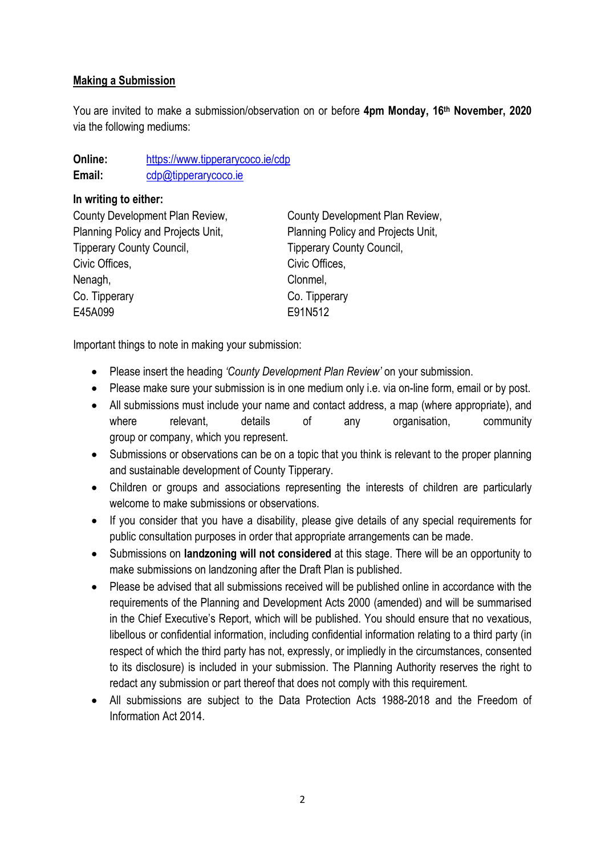#### **Making a Submission**

You are invited to make a submission/observation on or before **4pm Monday, 16th November, 2020** via the following mediums:

| Online: | https://www.tipperarycoco.ie/cdp |
|---------|----------------------------------|
| Email:  | cdp@tipperarycoco.ie             |

#### **In writing to either:**

| County Development Plan Review,    | County Development Plan Review,    |
|------------------------------------|------------------------------------|
| Planning Policy and Projects Unit, | Planning Policy and Projects Unit, |
| <b>Tipperary County Council,</b>   | <b>Tipperary County Council,</b>   |
| Civic Offices,                     | Civic Offices,                     |
| Nenagh,                            | Clonmel,                           |
| Co. Tipperary                      | Co. Tipperary                      |
| E45A099                            | E91N512                            |
|                                    |                                    |

Important things to note in making your submission:

- Please insert the heading *'County Development Plan Review'* on your submission.
- Please make sure your submission is in one medium only i.e. via on-line form, email or by post.
- All submissions must include your name and contact address, a map (where appropriate), and where relevant, details of any organisation, community group or company, which you represent.
- Submissions or observations can be on a topic that you think is relevant to the proper planning and sustainable development of County Tipperary.
- Children or groups and associations representing the interests of children are particularly welcome to make submissions or observations.
- If you consider that you have a disability, please give details of any special requirements for public consultation purposes in order that appropriate arrangements can be made.
- Submissions on **landzoning will not considered** at this stage. There will be an opportunity to make submissions on landzoning after the Draft Plan is published.
- Please be advised that all submissions received will be published online in accordance with the requirements of the Planning and Development Acts 2000 (amended) and will be summarised in the Chief Executive's Report, which will be published. You should ensure that no vexatious, libellous or confidential information, including confidential information relating to a third party (in respect of which the third party has not, expressly, or impliedly in the circumstances, consented to its disclosure) is included in your submission. The Planning Authority reserves the right to redact any submission or part thereof that does not comply with this requirement.
- All submissions are subject to the Data Protection Acts 1988-2018 and the Freedom of Information Act 2014.